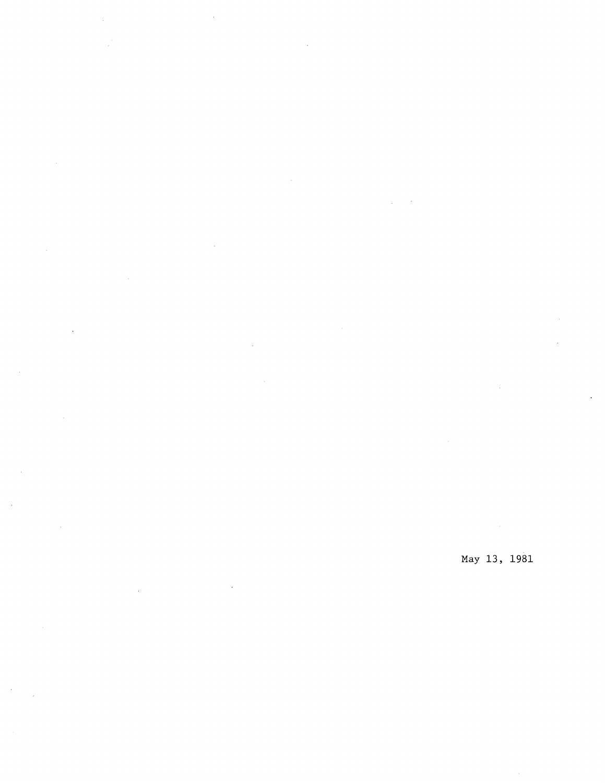$\frac{1}{2}$  $\mathcal{A}$ 

 $\sim$ 

 $\ddot{\phantom{a}}$ 

J.

May 13, 1981  $\bar{\mathcal{A}}$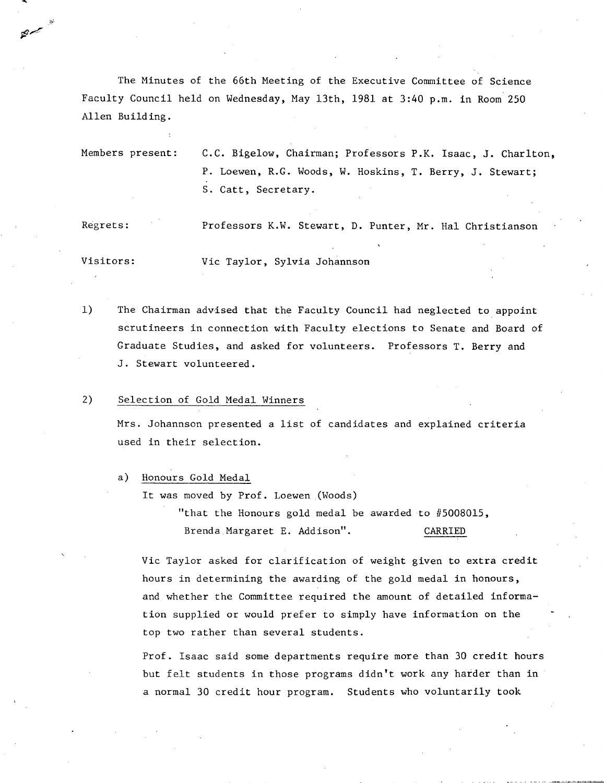The Minutes of the 66th Meeting of the Executive Committee of Science Faculty Council held on Wednesday, May 13th, 1981 at 3:40 p.m. in Room 250 Allen Building.

Members present: C.C. Bigelow, Chairman; Professors P.K. Isaac, J. Charlton, P. Loewen, R.G. Woods, W. Hoskins, T. Berry, J. Stewart; S. Catt, Secretary.

Regrets: Professors K.W. Stewart, D. Punter, Mr. Hal Christianson

Visitors: Vic Taylor, Sylvia Johannson

 $1)$ The Chairman advised that the Faculty Council had neglected to appoint scrutineers in connection with Faculty elections to Senate and Board of Graduate Studies, and asked for volunteers. Professors T. Berry and J. Stewart volunteered.

## $2)$ Selection of Gold Medal Winners

صريحة

Mrs. Johannson presented a list of candidates and explained criteria used in their selection.

a) Honours Gold Medal

It was moved by Prof. Loewen (Woods)

"that the Honours gold medal be awarded to #5008015, Brenda Margaret E. Addison". CARRIED

Vic Taylor asked for clarification of weight given to extra credit hours in determining the awarding of the gold medal in honours, and whether the Committee required the amount of detailed information supplied or would prefer to simply have information on the top two rather than several students.

Prof. Isaac said some departments require more than 30 credit hours but felt students in those programs didn't work any harder than in a normal 30 credit hour program. Students who voluntarily took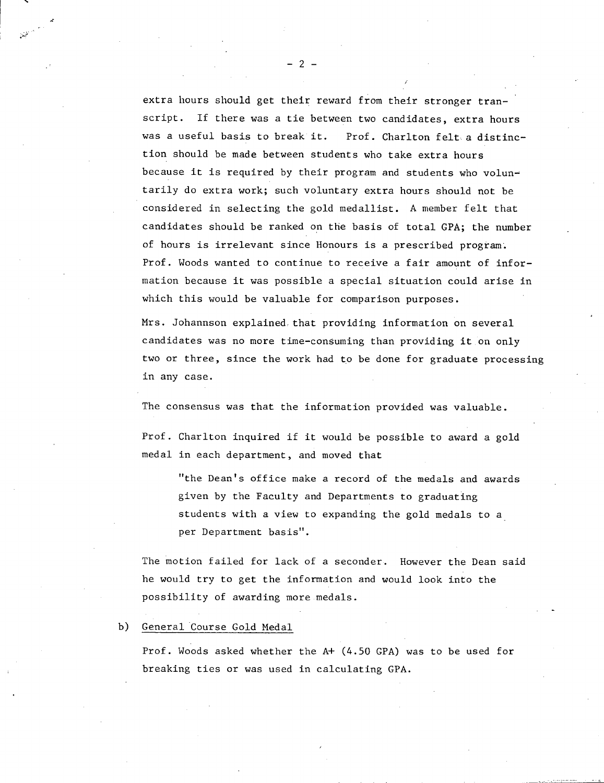extra hours should get their reward from their stronger transcript. If there was a tie between two candidates, extra hours was a useful basis to break it. Prof. Charlton felt a distinction should be made between students who take extra hours because it is required by their program and students who voluntarily do extra work; such voluntary extra hours should not be considered in selecting the gold medallist. A member felt that candidates should be ranked on the basis of total GPA; the number of hours is irrelevant since Honours is a prescribed program. Prof. Woods wanted to continue to receive a fair amount of information because it was possible a special situation could arise in which this would be valuable for comparison purposes.

Mrs. Johannson explained that providing information on several candidates was no more time-consuming than providing it on only two or three, since the work had to be done for graduate processing in any case.

The consensus was that the information provided was valuable.

Prof. Charlton inquired if it would be possible to award a gold medal in each department, and moved that

"the Dean's office make a record of the medals and awards given by the Faculty and Departments to graduating students with a view to expanding the gold medals to a per Department basis".

The motion failed for lack of a seconder. However the Dean said he would try to get the information and would look into the possibility of awarding more medals.

b) General Course Gold Medal

Prof. Woods asked whether the A+ (4.50 GPA) was to be used for breaking ties or was used in calculating GPA.

-2-